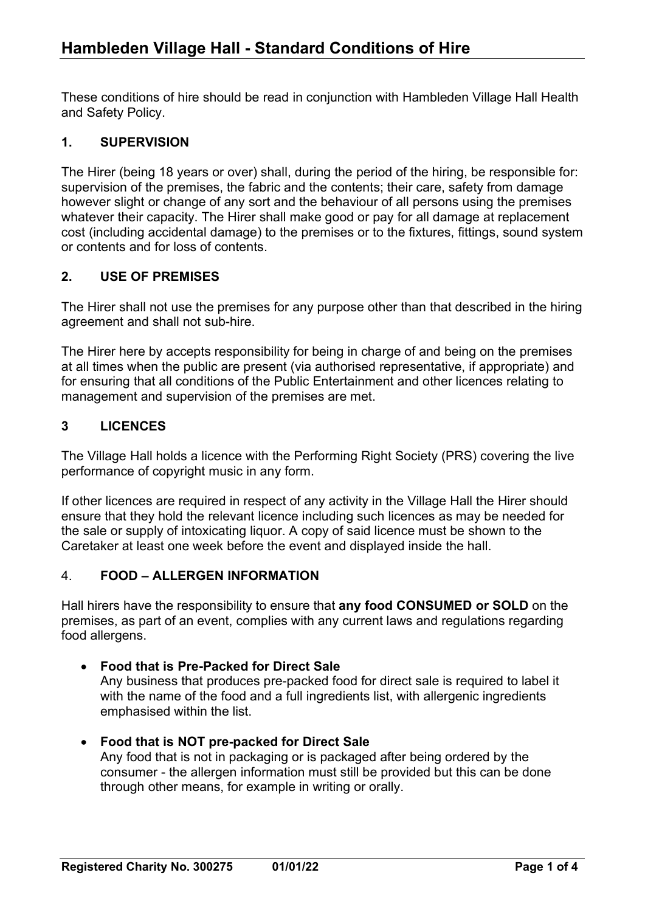These conditions of hire should be read in conjunction with Hambleden Village Hall Health and Safety Policy.

## 1. SUPERVISION

The Hirer (being 18 years or over) shall, during the period of the hiring, be responsible for: supervision of the premises, the fabric and the contents; their care, safety from damage however slight or change of any sort and the behaviour of all persons using the premises whatever their capacity. The Hirer shall make good or pay for all damage at replacement cost (including accidental damage) to the premises or to the fixtures, fittings, sound system or contents and for loss of contents.

## 2. USE OF PREMISES

The Hirer shall not use the premises for any purpose other than that described in the hiring agreement and shall not sub-hire.

The Hirer here by accepts responsibility for being in charge of and being on the premises at all times when the public are present (via authorised representative, if appropriate) and for ensuring that all conditions of the Public Entertainment and other licences relating to management and supervision of the premises are met.

## 3 LICENCES

The Village Hall holds a licence with the Performing Right Society (PRS) covering the live performance of copyright music in any form.

If other licences are required in respect of any activity in the Village Hall the Hirer should ensure that they hold the relevant licence including such licences as may be needed for the sale or supply of intoxicating liquor. A copy of said licence must be shown to the Caretaker at least one week before the event and displayed inside the hall.

## 4. FOOD – ALLERGEN INFORMATION

Hall hirers have the responsibility to ensure that any food CONSUMED or SOLD on the premises, as part of an event, complies with any current laws and regulations regarding food allergens.

#### Food that is Pre-Packed for Direct Sale

Any business that produces pre-packed food for direct sale is required to label it with the name of the food and a full ingredients list, with allergenic ingredients emphasised within the list.

## Food that is NOT pre-packed for Direct Sale

Any food that is not in packaging or is packaged after being ordered by the consumer - the allergen information must still be provided but this can be done through other means, for example in writing or orally.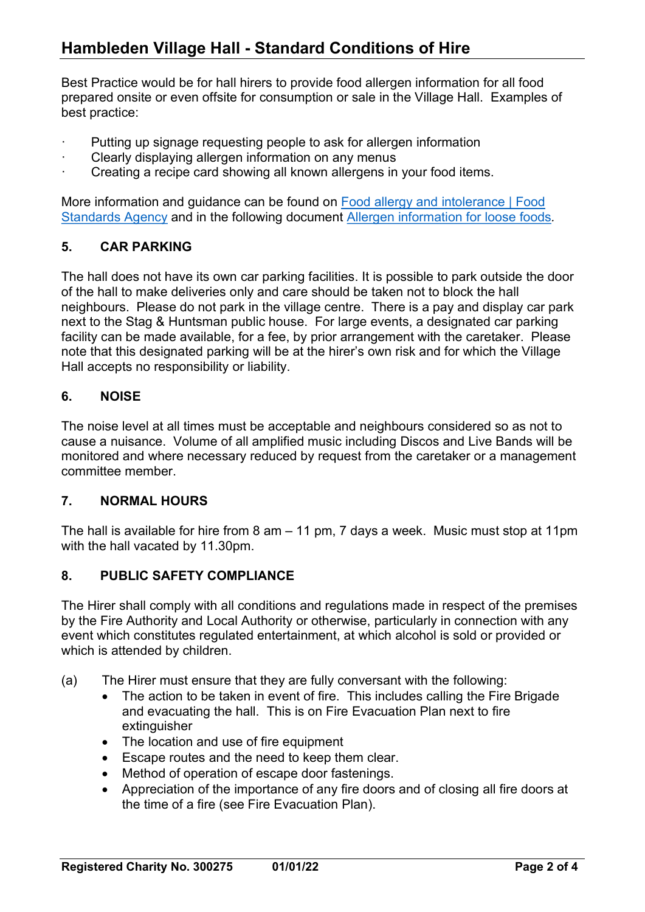# Hambleden Village Hall - Standard Conditions of Hire

Best Practice would be for hall hirers to provide food allergen information for all food prepared onsite or even offsite for consumption or sale in the Village Hall. Examples of best practice:

- Putting up signage requesting people to ask for allergen information
- Clearly displaying allergen information on any menus
- Creating a recipe card showing all known allergens in your food items.

More information and guidance can be found on Food allergy and intolerance | Food Standards Agency and in the following document Allergen information for loose foods.

#### 5. CAR PARKING

The hall does not have its own car parking facilities. It is possible to park outside the door of the hall to make deliveries only and care should be taken not to block the hall neighbours. Please do not park in the village centre. There is a pay and display car park next to the Stag & Huntsman public house. For large events, a designated car parking facility can be made available, for a fee, by prior arrangement with the caretaker. Please note that this designated parking will be at the hirer's own risk and for which the Village Hall accepts no responsibility or liability.

#### 6. NOISE

The noise level at all times must be acceptable and neighbours considered so as not to cause a nuisance. Volume of all amplified music including Discos and Live Bands will be monitored and where necessary reduced by request from the caretaker or a management committee member.

#### 7. NORMAL HOURS

The hall is available for hire from 8 am – 11 pm, 7 days a week. Music must stop at 11pm with the hall vacated by 11.30pm.

#### 8. PUBLIC SAFETY COMPLIANCE

The Hirer shall comply with all conditions and regulations made in respect of the premises by the Fire Authority and Local Authority or otherwise, particularly in connection with any event which constitutes regulated entertainment, at which alcohol is sold or provided or which is attended by children.

- (a) The Hirer must ensure that they are fully conversant with the following:
	- The action to be taken in event of fire. This includes calling the Fire Brigade and evacuating the hall. This is on Fire Evacuation Plan next to fire extinguisher
	- The location and use of fire equipment
	- Escape routes and the need to keep them clear.
	- Method of operation of escape door fastenings.
	- Appreciation of the importance of any fire doors and of closing all fire doors at the time of a fire (see Fire Evacuation Plan).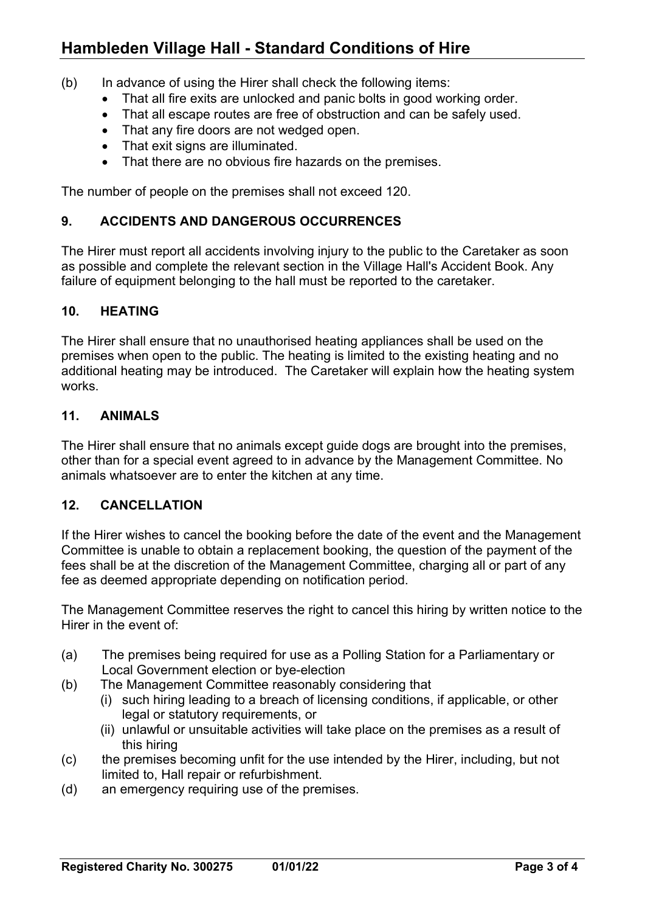# Hambleden Village Hall - Standard Conditions of Hire

- (b) In advance of using the Hirer shall check the following items:
	- That all fire exits are unlocked and panic bolts in good working order.
	- That all escape routes are free of obstruction and can be safely used.
	- That any fire doors are not wedged open.
	- That exit signs are illuminated.
	- That there are no obvious fire hazards on the premises.

The number of people on the premises shall not exceed 120.

#### 9. ACCIDENTS AND DANGEROUS OCCURRENCES

The Hirer must report all accidents involving injury to the public to the Caretaker as soon as possible and complete the relevant section in the Village Hall's Accident Book. Any failure of equipment belonging to the hall must be reported to the caretaker.

#### 10. HEATING

The Hirer shall ensure that no unauthorised heating appliances shall be used on the premises when open to the public. The heating is limited to the existing heating and no additional heating may be introduced. The Caretaker will explain how the heating system works.

## 11. ANIMALS

The Hirer shall ensure that no animals except guide dogs are brought into the premises, other than for a special event agreed to in advance by the Management Committee. No animals whatsoever are to enter the kitchen at any time.

## 12. CANCELLATION

If the Hirer wishes to cancel the booking before the date of the event and the Management Committee is unable to obtain a replacement booking, the question of the payment of the fees shall be at the discretion of the Management Committee, charging all or part of any fee as deemed appropriate depending on notification period.

The Management Committee reserves the right to cancel this hiring by written notice to the Hirer in the event of:

- (a) The premises being required for use as a Polling Station for a Parliamentary or Local Government election or bye-election
- (b) The Management Committee reasonably considering that
	- (i) such hiring leading to a breach of licensing conditions, if applicable, or other legal or statutory requirements, or
	- (ii) unlawful or unsuitable activities will take place on the premises as a result of this hiring
- (c) the premises becoming unfit for the use intended by the Hirer, including, but not limited to, Hall repair or refurbishment.
- (d) an emergency requiring use of the premises.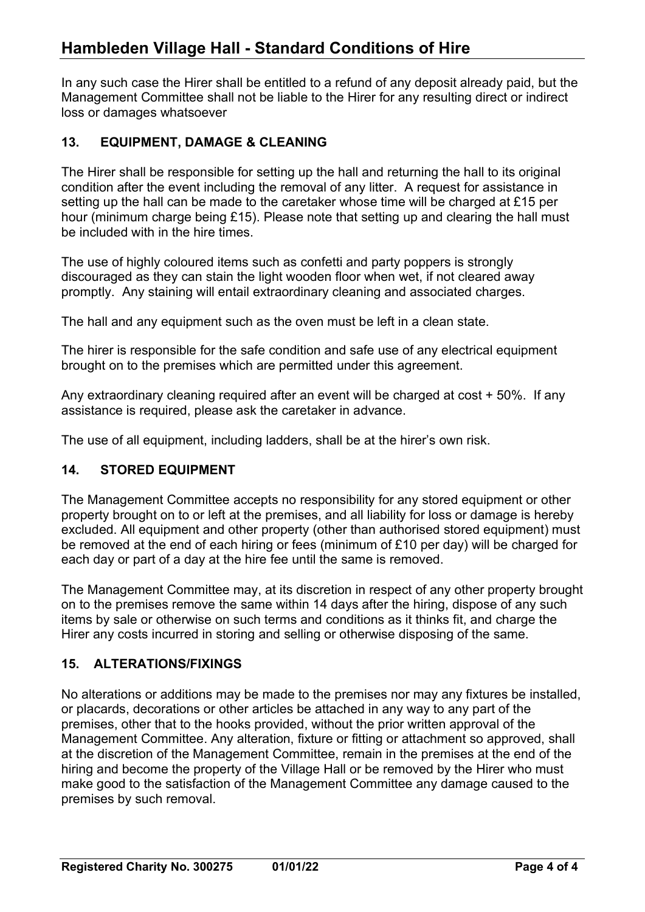# Hambleden Village Hall - Standard Conditions of Hire

In any such case the Hirer shall be entitled to a refund of any deposit already paid, but the Management Committee shall not be liable to the Hirer for any resulting direct or indirect loss or damages whatsoever

## 13. EQUIPMENT, DAMAGE & CLEANING

The Hirer shall be responsible for setting up the hall and returning the hall to its original condition after the event including the removal of any litter. A request for assistance in setting up the hall can be made to the caretaker whose time will be charged at £15 per hour (minimum charge being £15). Please note that setting up and clearing the hall must be included with in the hire times.

The use of highly coloured items such as confetti and party poppers is strongly discouraged as they can stain the light wooden floor when wet, if not cleared away promptly. Any staining will entail extraordinary cleaning and associated charges.

The hall and any equipment such as the oven must be left in a clean state.

The hirer is responsible for the safe condition and safe use of any electrical equipment brought on to the premises which are permitted under this agreement.

Any extraordinary cleaning required after an event will be charged at cost + 50%. If any assistance is required, please ask the caretaker in advance.

The use of all equipment, including ladders, shall be at the hirer's own risk.

#### 14. STORED EQUIPMENT

The Management Committee accepts no responsibility for any stored equipment or other property brought on to or left at the premises, and all liability for loss or damage is hereby excluded. All equipment and other property (other than authorised stored equipment) must be removed at the end of each hiring or fees (minimum of £10 per day) will be charged for each day or part of a day at the hire fee until the same is removed.

The Management Committee may, at its discretion in respect of any other property brought on to the premises remove the same within 14 days after the hiring, dispose of any such items by sale or otherwise on such terms and conditions as it thinks fit, and charge the Hirer any costs incurred in storing and selling or otherwise disposing of the same.

#### 15. ALTERATIONS/FIXINGS

No alterations or additions may be made to the premises nor may any fixtures be installed, or placards, decorations or other articles be attached in any way to any part of the premises, other that to the hooks provided, without the prior written approval of the Management Committee. Any alteration, fixture or fitting or attachment so approved, shall at the discretion of the Management Committee, remain in the premises at the end of the hiring and become the property of the Village Hall or be removed by the Hirer who must make good to the satisfaction of the Management Committee any damage caused to the premises by such removal.